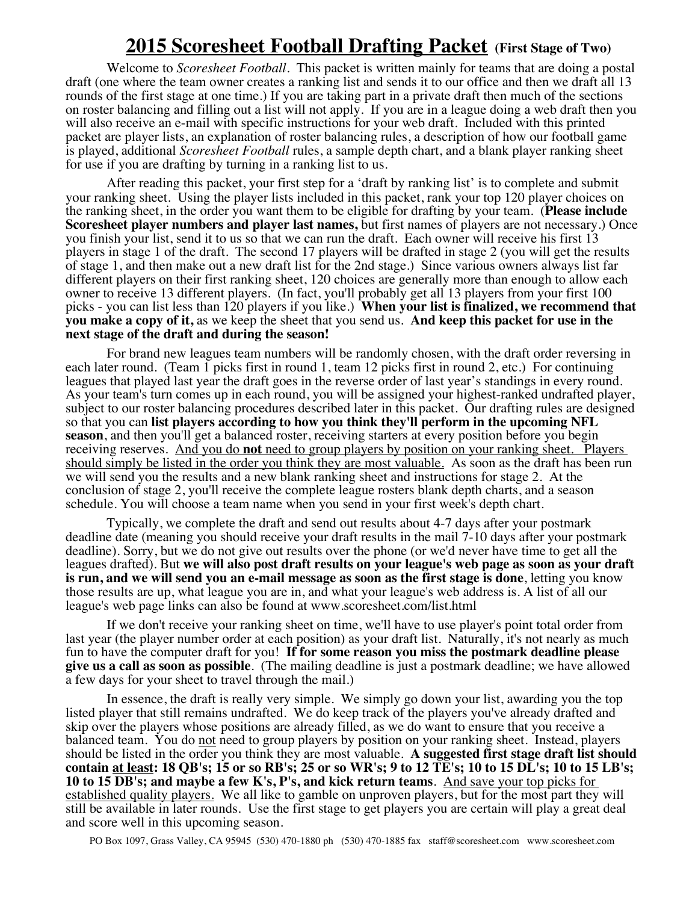## **2015 Scoresheet Football Drafting Packet (First Stage of Two)**

Welcome to *Scoresheet Football*. This packet is written mainly for teams that are doing a postal draft (one where the team owner creates a ranking list and sends it to our office and then we draft all 13 rounds of the first stage at one time.) If you are taking part in a private draft then much of the sections on roster balancing and filling out a list will not apply. If you are in a league doing a web draft then you will also receive an e-mail with specific instructions for your web draft. Included with this printed packet are player lists, an explanation of roster balancing rules, a description of how our football game is played, additional *Scoresheet Football* rules, a sample depth chart, and a blank player ranking sheet for use if you are drafting by turning in a ranking list to us.

After reading this packet, your first step for a 'draft by ranking list' is to complete and submit your ranking sheet. Using the player lists included in this packet, rank your top 120 player choices on the ranking sheet, in the order you want them to be eligible for drafting by your team. (**Please include Scoresheet player numbers and player last names,** but first names of players are not necessary.) Once you finish your list, send it to us so that we can run the draft. Each owner will receive his first 13 players in stage 1 of the draft. The second 17 players will be drafted in stage 2 (you will get the results of stage 1, and then make out a new draft list for the 2nd stage.) Since various owners always list far different players on their first ranking sheet, 120 choices are generally more than enough to allow each owner to receive 13 different players. (In fact, you'll probably get all 13 players from your first 100 picks - you can list less than 120 players if you like.) **When your list is finalized, we recommend that you make a copy of it,** as we keep the sheet that you send us. **And keep this packet for use in the next stage of the draft and during the season!**

For brand new leagues team numbers will be randomly chosen, with the draft order reversing in each later round. (Team 1 picks first in round 1, team 12 picks first in round 2, etc.) For continuing leagues that played last year the draft goes in the reverse order of last year's standings in every round. As your team's turn comes up in each round, you will be assigned your highest-ranked undrafted player, subject to our roster balancing procedures described later in this packet. Our drafting rules are designed so that you can **list players according to how you think they'll perform in the upcoming NFL season**, and then you'll get a balanced roster, receiving starters at every position before you begin receiving reserves. And you do **not** need to group players by position on your ranking sheet. Players should simply be listed in the order you think they are most valuable. As soon as the draft has been run we will send you the results and a new blank ranking sheet and instructions for stage 2. At the conclusion of stage 2, you'll receive the complete league rosters blank depth charts, and a season schedule. You will choose a team name when you send in your first week's depth chart.

Typically, we complete the draft and send out results about 4-7 days after your postmark deadline date (meaning you should receive your draft results in the mail 7-10 days after your postmark deadline). Sorry, but we do not give out results over the phone (or we'd never have time to get all the leagues drafted). But **we will also post draft results on your league's web page as soon as your draft is run, and we will send you an e-mail message as soon as the first stage is done**, letting you know those results are up, what league you are in, and what your league's web address is. A list of all our league's web page links can also be found at www.scoresheet.com/list.html

If we don't receive your ranking sheet on time, we'll have to use player's point total order from last year (the player number order at each position) as your draft list. Naturally, it's not nearly as much fun to have the computer draft for you! **If for some reason you miss the postmark deadline please give us a call as soon as possible**. (The mailing deadline is just a postmark deadline; we have allowed a few days for your sheet to travel through the mail.)

In essence, the draft is really very simple. We simply go down your list, awarding you the top listed player that still remains undrafted. We do keep track of the players you've already drafted and skip over the players whose positions are already filled, as we do want to ensure that you receive a balanced team. You do not need to group players by position on your ranking sheet. Instead, players should be listed in the order you think they are most valuable. **A suggested first stage draft list should contain at least: 18 QB's; 15 or so RB's; 25 or so WR's; 9 to 12 TE's; 10 to 15 DL's; 10 to 15 LB's; 10 to 15 DB's; and maybe a few K's, P's, and kick return teams**. And save your top picks for established quality players. We all like to gamble on unproven players, but for the most part they will still be available in later rounds. Use the first stage to get players you are certain will play a great deal and score well in this upcoming season.

PO Box 1097, Grass Valley, CA 95945 (530) 470-1880 ph (530) 470-1885 fax staff@scoresheet.com www.scoresheet.com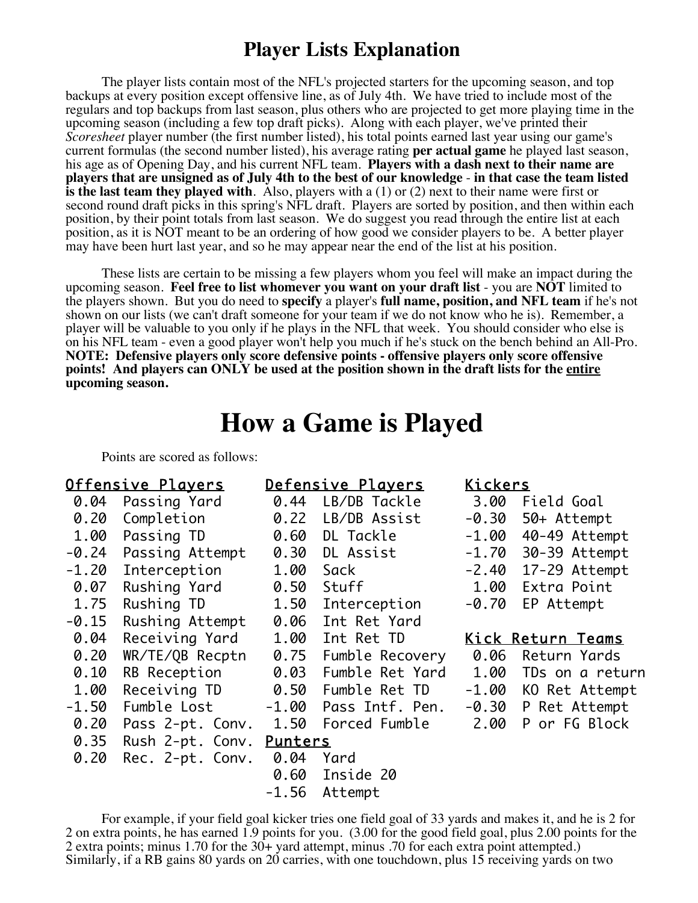## **Player Lists Explanation**

The player lists contain most of the NFL's projected starters for the upcoming season, and top backups at every position except offensive line, as of July 4th. We have tried to include most of the regulars and top backups from last season, plus others who are projected to get more playing time in the upcoming season (including a few top draft picks). Along with each player, we've printed their *Scoresheet* player number (the first number listed), his total points earned last year using our game's current formulas (the second number listed), his average rating **per actual game** he played last season, his age as of Opening Day, and his current NFL team. **Players with a dash next to their name are players that are unsigned as of July 4th to the best of our knowledge** - **in that case the team listed is the last team they played with**. Also, players with a (1) or (2) next to their name were first or second round draft picks in this spring's NFL draft. Players are sorted by position, and then within each position, by their point totals from last season. We do suggest you read through the entire list at each position, as it is NOT meant to be an ordering of how good we consider players to be. A better player may have been hurt last year, and so he may appear near the end of the list at his position.

These lists are certain to be missing a few players whom you feel will make an impact during the upcoming season. **Feel free to list whomever you want on your draft list** - you are **NOT** limited to the players shown. But you do need to **specify** a player's **full name, position, and NFL team** if he's not shown on our lists (we can't draft someone for your team if we do not know who he is). Remember, a player will be valuable to you only if he plays in the NFL that week. You should consider who else is on his NFL team - even a good player won't help you much if he's stuck on the bench behind an All-Pro. **NOTE: Defensive players only score defensive points - offensive players only score offensive points! And players can ONLY be used at the position shown in the draft lists for the entire upcoming season.** 

## **How a Game is Played**

Points are scored as follows:

| <u> Offensive Players</u> |                          | <u>Defensive Plavers</u> |                       | <u>Kickers</u>           |                       |  |
|---------------------------|--------------------------|--------------------------|-----------------------|--------------------------|-----------------------|--|
| 0.04                      | Passing Yard             | 0.44                     | LB/DB Tackle          | 3.00                     | Field Goal            |  |
| 0.20                      | Completion               | 0.22                     | LB/DB Assist          | $-0.30$                  | 50+ Attempt           |  |
| 1.00                      | Passing TD               | 0.60                     | DL Tackle             | -1.00                    | 40-49 Attempt         |  |
| $-0.24$                   | Passing Attempt          | 0.30                     | DL Assist             | $-1.70$                  | 30-39 Attempt         |  |
| $-1.20$                   | Interception             | 1.00                     | Sack                  |                          | $-2.40$ 17-29 Attempt |  |
| 0.07                      | Rushing Yard             | 0.50                     | Stuff                 | 1.00                     | Extra Point           |  |
| 1.75                      | Rushing TD               | 1.50                     | Interception          | $-0.70$                  | EP Attempt            |  |
| $-0.15$                   | Rushing Attempt          | 0.06                     | Int Ret Yard          |                          |                       |  |
| 0.04                      | Receiving Yard           | 1.00                     | Int Ret TD            | <u>Kick Return Teams</u> |                       |  |
|                           |                          |                          |                       |                          |                       |  |
| 0.20                      | WR/TE/QB Recptn          | 0.75                     | Fumble Recovery       | 0.06                     | Return Yards          |  |
| 0.10                      | RB Reception             | 0.03                     | Fumble Ret Yard       | 1.00                     | TDs on a return       |  |
| 1.00                      | Receiving TD             | 0.50                     | Fumble Ret TD         |                          | -1.00 KO Ret Attempt  |  |
| $-1.50$                   | Fumble Lost              |                          | -1.00 Pass Intf. Pen. |                          | -0.30 P Ret Attempt   |  |
| 0.20                      | Pass 2-pt. Conv. 1.50    |                          | Forced Fumble         | 2.00                     | P or FG Block         |  |
| 0.35                      | Rush 2-pt. Conv. Punters |                          |                       |                          |                       |  |
| 0.20                      | Rec. 2-pt. Conv.         | 0.04                     | Yard                  |                          |                       |  |
|                           |                          | 0.60                     | Inside 20             |                          |                       |  |

For example, if your field goal kicker tries one field goal of 33 yards and makes it, and he is 2 for 2 on extra points, he has earned 1.9 points for you. (3.00 for the good field goal, plus 2.00 points for the 2 extra points; minus 1.70 for the 30+ yard attempt, minus .70 for each extra point attempted.) Similarly, if a RB gains 80 yards on 20 carries, with one touchdown, plus 15 receiving yards on two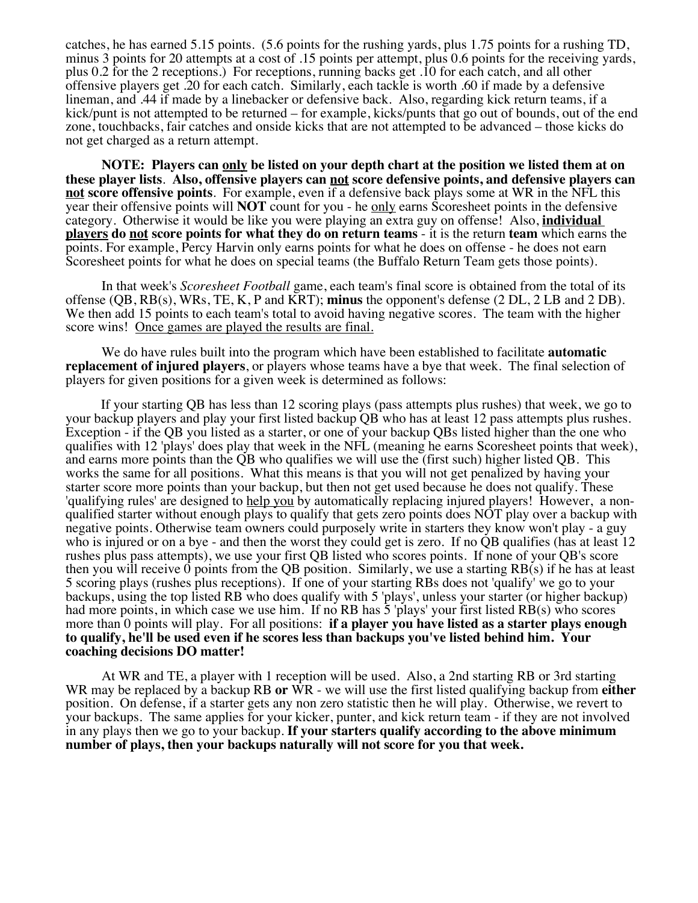catches, he has earned 5.15 points. (5.6 points for the rushing yards, plus 1.75 points for a rushing TD, minus 3 points for 20 attempts at a cost of .15 points per attempt, plus 0.6 points for the receiving yards, plus 0.2 for the 2 receptions.) For receptions, running backs get .10 for each catch, and all other offensive players get .20 for each catch. Similarly, each tackle is worth .60 if made by a defensive lineman, and .44 if made by a linebacker or defensive back. Also, regarding kick return teams, if a kick/punt is not attempted to be returned – for example, kicks/punts that go out of bounds, out of the end zone, touchbacks, fair catches and onside kicks that are not attempted to be advanced – those kicks do not get charged as a return attempt.

**NOTE: Players can only be listed on your depth chart at the position we listed them at on these player lists**. **Also, offensive players can not score defensive points, and defensive players can not score offensive points**. For example, even if a defensive back plays some at WR in the NFL this year their offensive points will **NOT** count for you - he only earns Scoresheet points in the defensive category. Otherwise it would be like you were playing an extra guy on offense! Also, **individual players do not score points for what they do on return teams** - it is the return **team** which earns the points. For example, Percy Harvin only earns points for what he does on offense - he does not earn Scoresheet points for what he does on special teams (the Buffalo Return Team gets those points).

In that week's *Scoresheet Football* game, each team's final score is obtained from the total of its offense (QB, RB(s), WRs, TE, K, P and KRT); **minus** the opponent's defense (2 DL, 2 LB and 2 DB). We then add 15 points to each team's total to avoid having negative scores. The team with the higher score wins! Once games are played the results are final.

We do have rules built into the program which have been established to facilitate **automatic replacement of injured players**, or players whose teams have a bye that week. The final selection of players for given positions for a given week is determined as follows:

If your starting QB has less than 12 scoring plays (pass attempts plus rushes) that week, we go to your backup players and play your first listed backup QB who has at least 12 pass attempts plus rushes. Exception - if the QB you listed as a starter, or one of your backup QBs listed higher than the one who qualifies with 12 'plays' does play that week in the NFL (meaning he earns Scoresheet points that week), and earns more points than the QB who qualifies we will use the (first such) higher listed QB. This works the same for all positions. What this means is that you will not get penalized by having your starter score more points than your backup, but then not get used because he does not qualify. These 'qualifying rules' are designed to help you by automatically replacing injured players! However, a nonqualified starter without enough plays to qualify that gets zero points does NOT play over a backup with negative points. Otherwise team owners could purposely write in starters they know won't play - a guy who is injured or on a bye - and then the worst they could get is zero. If no QB qualifies (has at least 12) rushes plus pass attempts), we use your first QB listed who scores points. If none of your QB's score then you will receive 0 points from the QB position. Similarly, we use a starting RB(s) if he has at least 5 scoring plays (rushes plus receptions). If one of your starting RBs does not 'qualify' we go to your backups, using the top listed RB who does qualify with 5 'plays', unless your starter (or higher backup) had more points, in which case we use him. If no RB has 5 'plays' your first listed RB(s) who scores more than 0 points will play. For all positions: **if a player you have listed as a starter plays enough to qualify, he'll be used even if he scores less than backups you've listed behind him. Your coaching decisions DO matter!**

At WR and TE, a player with 1 reception will be used. Also, a 2nd starting RB or 3rd starting WR may be replaced by a backup RB **or** WR - we will use the first listed qualifying backup from **either** position. On defense, if a starter gets any non zero statistic then he will play. Otherwise, we revert to your backups. The same applies for your kicker, punter, and kick return team - if they are not involved in any plays then we go to your backup. **If your starters qualify according to the above minimum number of plays, then your backups naturally will not score for you that week.**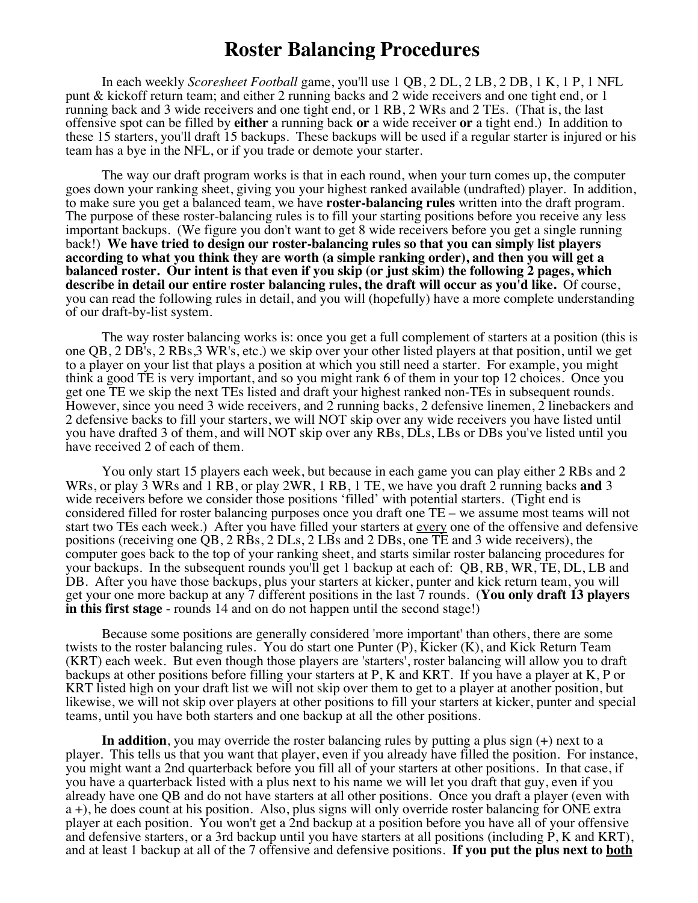## **Roster Balancing Procedures**

In each weekly *Scoresheet Football* game, you'll use 1 QB, 2 DL, 2 LB, 2 DB, 1 K, 1 P, 1 NFL punt & kickoff return team; and either 2 running backs and 2 wide receivers and one tight end, or 1 running back and 3 wide receivers and one tight end, or 1 RB, 2 WRs and 2 TEs. (That is, the last offensive spot can be filled by **either** a running back **or** a wide receiver **or** a tight end.) In addition to these 15 starters, you'll draft 15 backups. These backups will be used if a regular starter is injured or his team has a bye in the NFL, or if you trade or demote your starter.

The way our draft program works is that in each round, when your turn comes up, the computer goes down your ranking sheet, giving you your highest ranked available (undrafted) player. In addition, to make sure you get a balanced team, we have **roster-balancing rules** written into the draft program. The purpose of these roster-balancing rules is to fill your starting positions before you receive any less important backups. (We figure you don't want to get 8 wide receivers before you get a single running back!) **We have tried to design our roster-balancing rules so that you can simply list players according to what you think they are worth (a simple ranking order), and then you will get a balanced roster. Our intent is that even if you skip (or just skim) the following 2 pages, which describe in detail our entire roster balancing rules, the draft will occur as you'd like.** Of course, you can read the following rules in detail, and you will (hopefully) have a more complete understanding of our draft-by-list system.

The way roster balancing works is: once you get a full complement of starters at a position (this is one QB, 2 DB's, 2 RBs,3 WR's, etc.) we skip over your other listed players at that position, until we get to a player on your list that plays a position at which you still need a starter. For example, you might think a good TE is very important, and so you might rank 6 of them in your top 12 choices. Once you get one TE we skip the next TEs listed and draft your highest ranked non-TEs in subsequent rounds. However, since you need 3 wide receivers, and 2 running backs, 2 defensive linemen, 2 linebackers and 2 defensive backs to fill your starters, we will NOT skip over any wide receivers you have listed until you have drafted 3 of them, and will NOT skip over any RBs, DLs, LBs or DBs you've listed until you have received 2 of each of them.

You only start 15 players each week, but because in each game you can play either 2 RBs and 2 WRs, or play 3 WRs and 1 RB, or play 2WR, 1 RB, 1 TE, we have you draft 2 running backs **and** 3 wide receivers before we consider those positions 'filled' with potential starters. (Tight end is considered filled for roster balancing purposes once you draft one TE – we assume most teams will not start two TEs each week.) After you have filled your starters at <u>every</u> one of the offensive and defensive positions (receiving one QB, 2 RBs, 2 DLs, 2 LBs and 2 DBs, one TE and 3 wide receivers), the computer goes back to the top of your ranking sheet, and starts similar roster balancing procedures for your backups. In the subsequent rounds you'll get 1 backup at each of: QB, RB, WR, TE, DL, LB and DB. After you have those backups, plus your starters at kicker, punter and kick return team, you will get your one more backup at any 7 different positions in the last 7 rounds. (**You only draft 13 players in this first stage** - rounds 14 and on do not happen until the second stage!)

Because some positions are generally considered 'more important' than others, there are some twists to the roster balancing rules. You do start one Punter (P), Kicker (K), and Kick Return Team (KRT) each week. But even though those players are 'starters', roster balancing will allow you to draft backups at other positions before filling your starters at P, K and KRT. If you have a player at K, P or KRT listed high on your draft list we will not skip over them to get to a player at another position, but likewise, we will not skip over players at other positions to fill your starters at kicker, punter and special teams, until you have both starters and one backup at all the other positions.

**In addition**, you may override the roster balancing rules by putting a plus sign (+) next to a player. This tells us that you want that player, even if you already have filled the position. For instance, you might want a 2nd quarterback before you fill all of your starters at other positions. In that case, if you have a quarterback listed with a plus next to his name we will let you draft that guy, even if you already have one QB and do not have starters at all other positions. Once you draft a player (even with a +), he does count at his position. Also, plus signs will only override roster balancing for ONE extra player at each position. You won't get a 2nd backup at a position before you have all of your offensive and defensive starters, or a 3rd backup until you have starters at all positions (including P, K and KRT), and at least 1 backup at all of the 7 offensive and defensive positions. **If you put the plus next to both**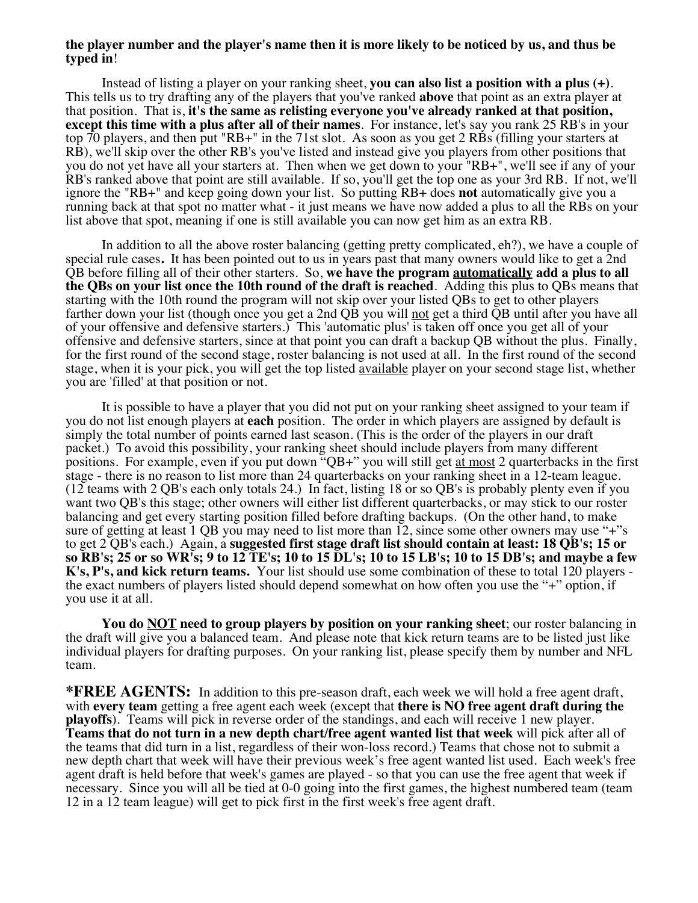### **the player number and the player's name then it is more likely to be noticed by us, and thus be typed in**!

Instead of listing a player on your ranking sheet, **you can also list a position with a plus (+)**. This tells us to try drafting any of the players that you've ranked **above** that point as an extra player at that position. That is, **it's the same as relisting everyone you've already ranked at that position, except this time with a plus after all of their names**. For instance, let's say you rank 25 RB's in your top 70 players, and then put "RB+" in the 71st slot. As soon as you get 2 RBs (filling your starters at RB), we'll skip over the other RB's you've listed and instead give you players from other positions that you do not yet have all your starters at. Then when we get down to your "RB+", we'll see if any of your RB's ranked above that point are still available. If so, you'll get the top one as your 3rd RB. If not, we'll ignore the "RB+" and keep going down your list. So putting RB+ does **not** automatically give you a running back at that spot no matter what - it just means we have now added a plus to all the RBs on your list above that spot, meaning if one is still available you can now get him as an extra RB.

In addition to all the above roster balancing (getting pretty complicated, eh?), we have a couple of special rule cases**.** It has been pointed out to us in years past that many owners would like to get a 2nd QB before filling all of their other starters. So, **we have the program automatically add a plus to all the QBs on your list once the 10th round of the draft is reached**. Adding this plus to QBs means that starting with the 10th round the program will not skip over your listed QBs to get to other players farther down your list (though once you get a 2nd QB you will not get a third QB until after you have all of your offensive and defensive starters.) This 'automatic plus' is taken off once you get all of your offensive and defensive starters, since at that point you can draft a backup QB without the plus. Finally, for the first round of the second stage, roster balancing is not used at all. In the first round of the second stage, when it is your pick, you will get the top listed <u>available</u> player on your second stage list, whether you are 'filled' at that position or not.

It is possible to have a player that you did not put on your ranking sheet assigned to your team if you do not list enough players at **each** position. The order in which players are assigned by default is simply the total number of points earned last season. (This is the order of the players in our draft packet.) To avoid this possibility, your ranking sheet should include players from many different positions. For example, even if you put down "QB+" you will still get at most 2 quarterbacks in the first stage - there is no reason to list more than 24 quarterbacks on your ranking sheet in a 12-team league. (12 teams with 2 QB's each only totals 24.) In fact, listing 18 or so QB's is probably plenty even if you want two QB's this stage; other owners will either list different quarterbacks, or may stick to our roster balancing and get every starting position filled before drafting backups. (On the other hand, to make sure of getting at least 1 OB you may need to list more than 12, since some other owners may use "+"s" to get 2 QB's each.) Again, a **suggested first stage draft list should contain at least: 18 QB's; 15 or so RB's; 25 or so WR's; 9 to 12 TE's; 10 to 15 DL's; 10 to 15 LB's; 10 to 15 DB's; and maybe a few**  the exact numbers of players listed should depend somewhat on how often you use the "+" option, if you use it at all.

You do **NOT** need to group players by position on your ranking sheet; our roster balancing in the draft will give you a balanced team. And please note that kick return teams are to be listed just like individual players for drafting purposes. On your ranking list, please specify them by number and NFL team.

**\*FREE AGENTS:** In addition to this pre-season draft, each week we will hold a free agent draft, with **every team** getting a free agent each week (except that **there is NO free agent draft during the playoffs**). Teams will pick in reverse order of the standings, and each will receive 1 new player. **Teams that do not turn in a new depth chart/free agent wanted list that week** will pick after all of the teams that did turn in a list, regardless of their won-loss record.) Teams that chose not to submit a new depth chart that week will have their previous week's free agent wanted list used. Each week's free agent draft is held before that week's games are played - so that you can use the free agent that week if necessary. Since you will all be tied at 0-0 going into the first games, the highest numbered team (team 12 in a 12 team league) will get to pick first in the first week's free agent draft.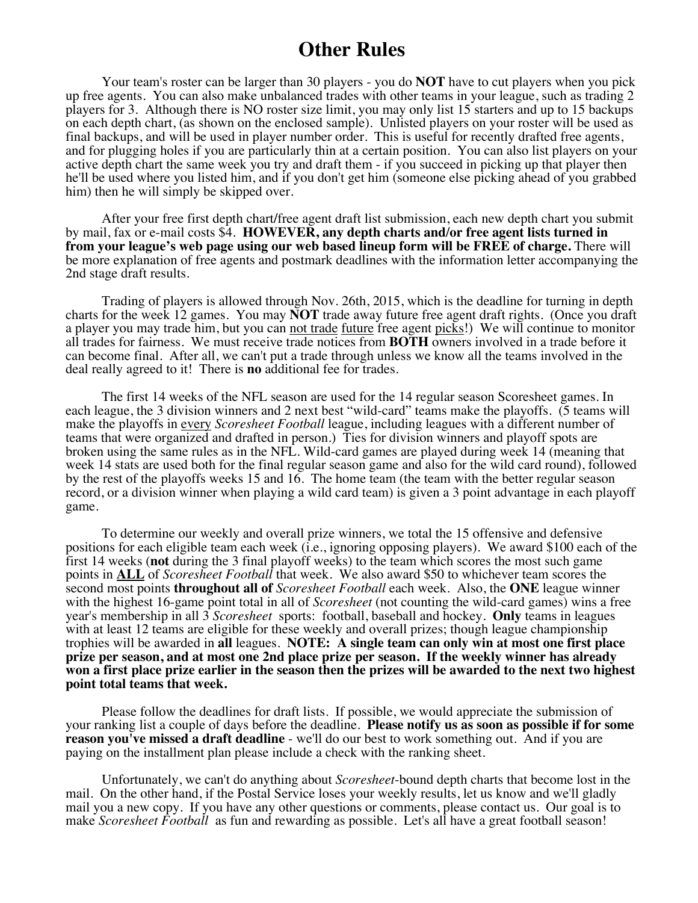## **Other Rules**

Your team's roster can be larger than 30 players - you do **NOT** have to cut players when you pick up free agents. You can also make unbalanced trades with other teams in your league, such as trading 2 players for 3. Although there is NO roster size limit, you may only list 15 starters and up to 15 backups on each depth chart, (as shown on the enclosed sample). Unlisted players on your roster will be used as final backups, and will be used in player number order. This is useful for recently drafted free agents, and for plugging holes if you are particularly thin at a certain position. You can also list players on your active depth chart the same week you try and draft them - if you succeed in picking up that player then he'll be used where you listed him, and if you don't get him (someone else picking ahead of you grabbed him) then he will simply be skipped over.

After your free first depth chart**/**free agent draft list submission, each new depth chart you submit by mail, fax or e-mail costs \$4. **HOWEVER, any depth charts and/or free agent lists turned in from your league's web page using our web based lineup form will be FREE of charge.** There will be more explanation of free agents and postmark deadlines with the information letter accompanying the 2nd stage draft results.

Trading of players is allowed through Nov. 26th, 2015, which is the deadline for turning in depth charts for the week 12 games. You may **NOT** trade away future free agent draft rights. (Once you draft a player you may trade him, but you can not trade future free agent picks!) We will continue to monitor all trades for fairness. We must receive trade notices from **BOTH** owners involved in a trade before it can become final. After all, we can't put a trade through unless we know all the teams involved in the deal really agreed to it! There is **no** additional fee for trades.

The first 14 weeks of the NFL season are used for the 14 regular season Scoresheet games. In each league, the 3 division winners and 2 next best "wild-card" teams make the playoffs. (5 teams will make the playoffs in every *Scoresheet Football* league, including leagues with a different number of teams that were organized and drafted in person.) Ties for division winners and playoff spots are broken using the same rules as in the NFL. Wild-card games are played during week 14 (meaning that week 14 stats are used both for the final regular season game and also for the wild card round), followed by the rest of the playoffs weeks 15 and 16. The home team (the team with the better regular season record, or a division winner when playing a wild card team) is given a 3 point advantage in each playoff game.

To determine our weekly and overall prize winners, we total the 15 offensive and defensive positions for each eligible team each week (i.e., ignoring opposing players). We award \$100 each of the first 14 weeks (**not** during the 3 final playoff weeks) to the team which scores the most such game points in **ALL** of *Scoresheet Football* that week. We also award \$50 to whichever team scores the second most points **throughout all of** *Scoresheet Football* each week. Also, the **ONE** league winner with the highest 16-game point total in all of *Scoresheet* (not counting the wild-card games) wins a free year's membership in all 3 *Scoresheet* sports: football, baseball and hockey. **Only** teams in leagues with at least 12 teams are eligible for these weekly and overall prizes; though league championship trophies will be awarded in **all** leagues. **NOTE: A single team can only win at most one first place prize per season, and at most one 2nd place prize per season. If the weekly winner has already won a first place prize earlier in the season then the prizes will be awarded to the next two highest point total teams that week.**

Please follow the deadlines for draft lists. If possible, we would appreciate the submission of your ranking list a couple of days before the deadline. **Please notify us as soon as possible if for some reason you've missed a draft deadline** - we'll do our best to work something out. And if you are paying on the installment plan please include a check with the ranking sheet.

Unfortunately, we can't do anything about *Scoresheet*-bound depth charts that become lost in the mail. On the other hand, if the Postal Service loses your weekly results, let us know and we'll gladly mail you a new copy. If you have any other questions or comments, please contact us. Our goal is to make *Scoresheet Football* as fun and rewarding as possible. Let's all have a great football season!